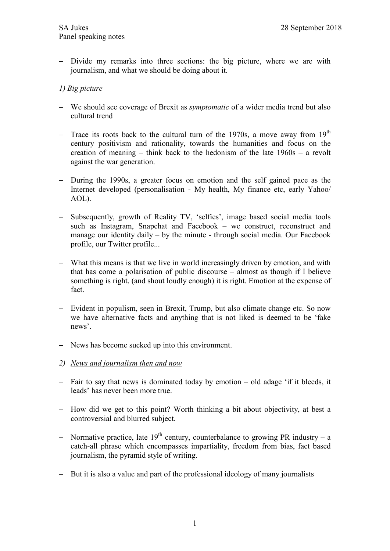- Divide my remarks into three sections: the big picture, where we are with journalism, and what we should be doing about it.

## 1) Big picture

- We should see coverage of Brexit as symptomatic of a wider media trend but also cultural trend
- Trace its roots back to the cultural turn of the 1970s, a move away from  $19<sup>th</sup>$ century positivism and rationality, towards the humanities and focus on the creation of meaning – think back to the hedonism of the late 1960s – a revolt against the war generation.
- During the 1990s, a greater focus on emotion and the self gained pace as the Internet developed (personalisation - My health, My finance etc, early Yahoo/ AOL).
- Subsequently, growth of Reality TV, 'selfies', image based social media tools such as Instagram, Snapchat and Facebook – we construct, reconstruct and manage our identity daily – by the minute - through social media. Our Facebook profile, our Twitter profile...
- What this means is that we live in world increasingly driven by emotion, and with that has come a polarisation of public discourse – almost as though if I believe something is right, (and shout loudly enough) it is right. Emotion at the expense of fact.
- Evident in populism, seen in Brexit, Trump, but also climate change etc. So now we have alternative facts and anything that is not liked is deemed to be 'fake news'.
- News has become sucked up into this environment.
- 2) News and journalism then and now
- Fair to say that news is dominated today by emotion old adage 'if it bleeds, it leads' has never been more true.
- How did we get to this point? Worth thinking a bit about objectivity, at best a controversial and blurred subject.
- Normative practice, late  $19<sup>th</sup>$  century, counterbalance to growing PR industry a catch-all phrase which encompasses impartiality, freedom from bias, fact based journalism, the pyramid style of writing.
- But it is also a value and part of the professional ideology of many journalists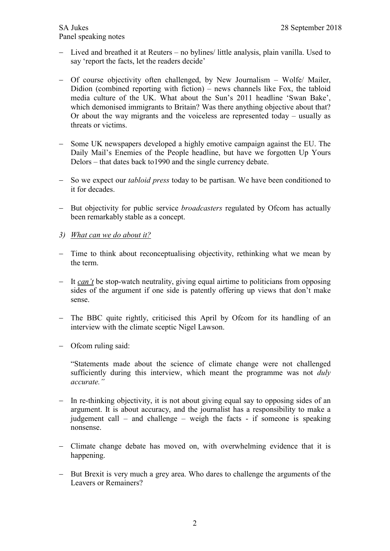- Lived and breathed it at Reuters no bylines/ little analysis, plain vanilla. Used to say 'report the facts, let the readers decide'
- Of course objectivity often challenged, by New Journalism Wolfe/ Mailer, Didion (combined reporting with fiction) – news channels like Fox, the tabloid media culture of the UK. What about the Sun's 2011 headline 'Swan Bake', which demonised immigrants to Britain? Was there anything objective about that? Or about the way migrants and the voiceless are represented today – usually as threats or victims.
- Some UK newspapers developed a highly emotive campaign against the EU. The Daily Mail's Enemies of the People headline, but have we forgotten Up Yours Delors – that dates back to1990 and the single currency debate.
- So we expect our *tabloid press* today to be partisan. We have been conditioned to it for decades.
- But objectivity for public service *broadcasters* regulated by Ofcom has actually been remarkably stable as a concept.
- 3) What can we do about it?
- Time to think about reconceptualising objectivity, rethinking what we mean by the term.
- $-I$  It *can't* be stop-watch neutrality, giving equal airtime to politicians from opposing sides of the argument if one side is patently offering up views that don't make sense.
- The BBC quite rightly, criticised this April by Ofcom for its handling of an interview with the climate sceptic Nigel Lawson.
- Ofcom ruling said:

"Statements made about the science of climate change were not challenged sufficiently during this interview, which meant the programme was not *duly* accurate."

- In re-thinking objectivity, it is not about giving equal say to opposing sides of an argument. It is about accuracy, and the journalist has a responsibility to make a judgement call – and challenge – weigh the facts - if someone is speaking nonsense.
- Climate change debate has moved on, with overwhelming evidence that it is happening.
- But Brexit is very much a grey area. Who dares to challenge the arguments of the Leavers or Remainers?